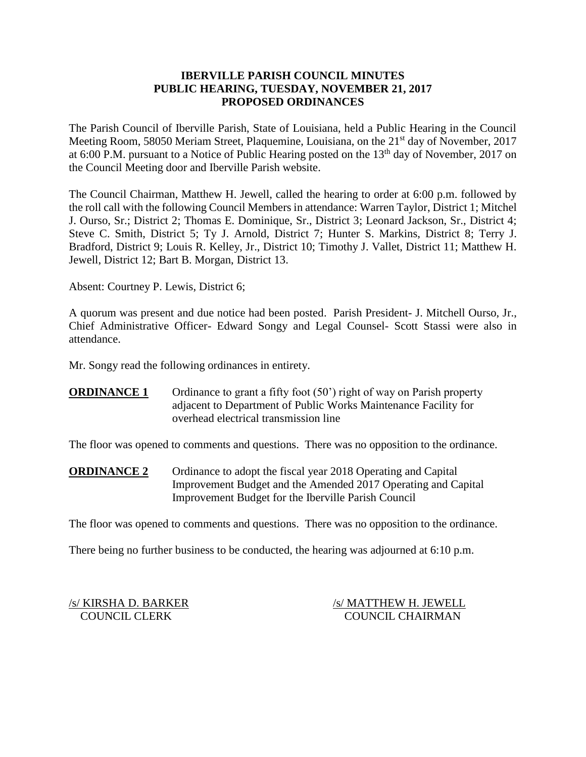### **IBERVILLE PARISH COUNCIL MINUTES PUBLIC HEARING, TUESDAY, NOVEMBER 21, 2017 PROPOSED ORDINANCES**

The Parish Council of Iberville Parish, State of Louisiana, held a Public Hearing in the Council Meeting Room, 58050 Meriam Street, Plaquemine, Louisiana, on the 21<sup>st</sup> day of November, 2017 at 6:00 P.M. pursuant to a Notice of Public Hearing posted on the  $13<sup>th</sup>$  day of November, 2017 on the Council Meeting door and Iberville Parish website.

The Council Chairman, Matthew H. Jewell, called the hearing to order at 6:00 p.m. followed by the roll call with the following Council Members in attendance: Warren Taylor, District 1; Mitchel J. Ourso, Sr.; District 2; Thomas E. Dominique, Sr., District 3; Leonard Jackson, Sr., District 4; Steve C. Smith, District 5; Ty J. Arnold, District 7; Hunter S. Markins, District 8; Terry J. Bradford, District 9; Louis R. Kelley, Jr., District 10; Timothy J. Vallet, District 11; Matthew H. Jewell, District 12; Bart B. Morgan, District 13.

Absent: Courtney P. Lewis, District 6;

A quorum was present and due notice had been posted. Parish President- J. Mitchell Ourso, Jr., Chief Administrative Officer- Edward Songy and Legal Counsel- Scott Stassi were also in attendance.

Mr. Songy read the following ordinances in entirety.

# **ORDINANCE 1** Ordinance to grant a fifty foot (50<sup>°</sup>) right of way on Parish property adjacent to Department of Public Works Maintenance Facility for overhead electrical transmission line

The floor was opened to comments and questions. There was no opposition to the ordinance.

**ORDINANCE 2** Ordinance to adopt the fiscal year 2018 Operating and Capital Improvement Budget and the Amended 2017 Operating and Capital Improvement Budget for the Iberville Parish Council

The floor was opened to comments and questions. There was no opposition to the ordinance.

There being no further business to be conducted, the hearing was adjourned at 6:10 p.m.

/s/ KIRSHA D. BARKER /s/ MATTHEW H. JEWELL COUNCIL CLERK COUNCIL CHAIRMAN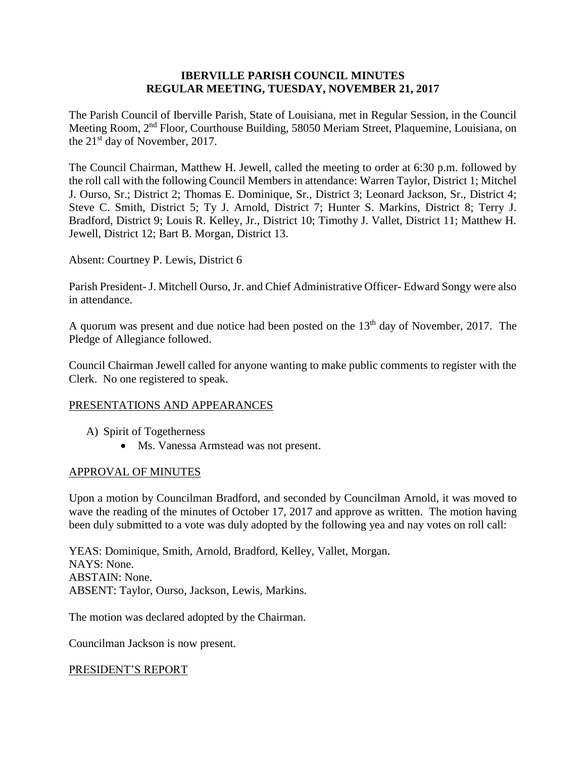### **IBERVILLE PARISH COUNCIL MINUTES REGULAR MEETING, TUESDAY, NOVEMBER 21, 2017**

The Parish Council of Iberville Parish, State of Louisiana, met in Regular Session, in the Council Meeting Room, 2nd Floor, Courthouse Building, 58050 Meriam Street, Plaquemine, Louisiana, on the 21<sup>st</sup> day of November, 2017.

The Council Chairman, Matthew H. Jewell, called the meeting to order at 6:30 p.m. followed by the roll call with the following Council Members in attendance: Warren Taylor, District 1; Mitchel J. Ourso, Sr.; District 2; Thomas E. Dominique, Sr., District 3; Leonard Jackson, Sr., District 4; Steve C. Smith, District 5; Ty J. Arnold, District 7; Hunter S. Markins, District 8; Terry J. Bradford, District 9; Louis R. Kelley, Jr., District 10; Timothy J. Vallet, District 11; Matthew H. Jewell, District 12; Bart B. Morgan, District 13.

Absent: Courtney P. Lewis, District 6

Parish President- J. Mitchell Ourso, Jr. and Chief Administrative Officer- Edward Songy were also in attendance.

A quorum was present and due notice had been posted on the  $13<sup>th</sup>$  day of November, 2017. The Pledge of Allegiance followed.

Council Chairman Jewell called for anyone wanting to make public comments to register with the Clerk. No one registered to speak.

# PRESENTATIONS AND APPEARANCES

- A) Spirit of Togetherness
	- Ms. Vanessa Armstead was not present.

### APPROVAL OF MINUTES

Upon a motion by Councilman Bradford, and seconded by Councilman Arnold, it was moved to wave the reading of the minutes of October 17, 2017 and approve as written. The motion having been duly submitted to a vote was duly adopted by the following yea and nay votes on roll call:

YEAS: Dominique, Smith, Arnold, Bradford, Kelley, Vallet, Morgan. NAYS: None. ABSTAIN: None. ABSENT: Taylor, Ourso, Jackson, Lewis, Markins.

The motion was declared adopted by the Chairman.

Councilman Jackson is now present.

### PRESIDENT'S REPORT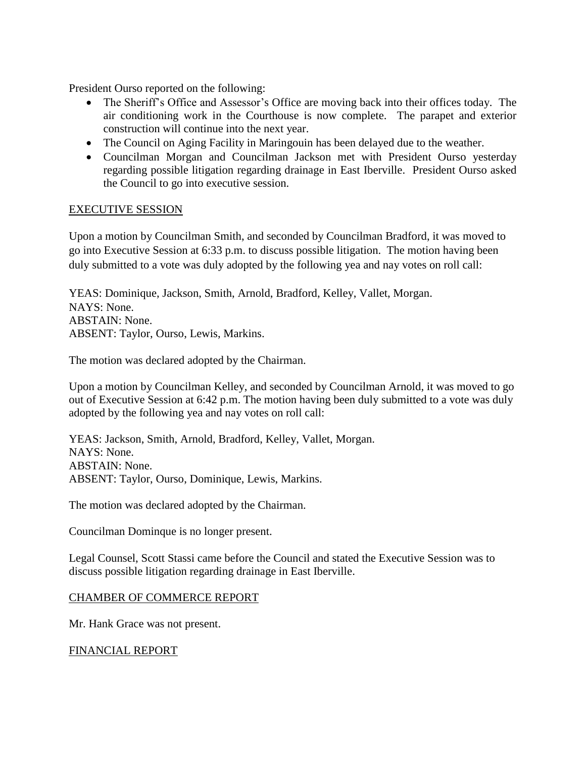President Ourso reported on the following:

- The Sheriff's Office and Assessor's Office are moving back into their offices today. The air conditioning work in the Courthouse is now complete. The parapet and exterior construction will continue into the next year.
- The Council on Aging Facility in Maringouin has been delayed due to the weather.
- Councilman Morgan and Councilman Jackson met with President Ourso yesterday regarding possible litigation regarding drainage in East Iberville. President Ourso asked the Council to go into executive session.

### EXECUTIVE SESSION

Upon a motion by Councilman Smith, and seconded by Councilman Bradford, it was moved to go into Executive Session at 6:33 p.m. to discuss possible litigation. The motion having been duly submitted to a vote was duly adopted by the following yea and nay votes on roll call:

YEAS: Dominique, Jackson, Smith, Arnold, Bradford, Kelley, Vallet, Morgan. NAYS: None. ABSTAIN: None. ABSENT: Taylor, Ourso, Lewis, Markins.

The motion was declared adopted by the Chairman.

Upon a motion by Councilman Kelley, and seconded by Councilman Arnold, it was moved to go out of Executive Session at 6:42 p.m. The motion having been duly submitted to a vote was duly adopted by the following yea and nay votes on roll call:

YEAS: Jackson, Smith, Arnold, Bradford, Kelley, Vallet, Morgan. NAYS: None. ABSTAIN: None. ABSENT: Taylor, Ourso, Dominique, Lewis, Markins.

The motion was declared adopted by the Chairman.

Councilman Dominque is no longer present.

Legal Counsel, Scott Stassi came before the Council and stated the Executive Session was to discuss possible litigation regarding drainage in East Iberville.

### CHAMBER OF COMMERCE REPORT

Mr. Hank Grace was not present.

### FINANCIAL REPORT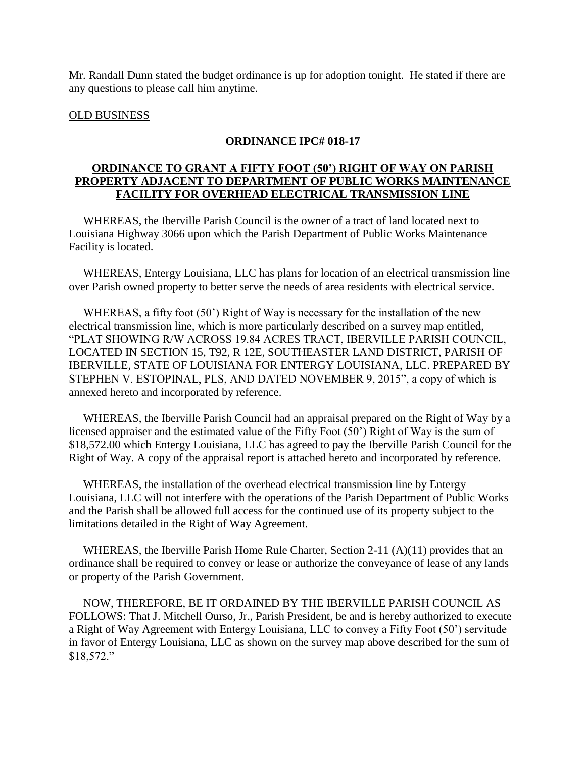Mr. Randall Dunn stated the budget ordinance is up for adoption tonight. He stated if there are any questions to please call him anytime.

### OLD BUSINESS

#### **ORDINANCE IPC# 018-17**

### **ORDINANCE TO GRANT A FIFTY FOOT (50') RIGHT OF WAY ON PARISH PROPERTY ADJACENT TO DEPARTMENT OF PUBLIC WORKS MAINTENANCE FACILITY FOR OVERHEAD ELECTRICAL TRANSMISSION LINE**

 WHEREAS, the Iberville Parish Council is the owner of a tract of land located next to Louisiana Highway 3066 upon which the Parish Department of Public Works Maintenance Facility is located.

 WHEREAS, Entergy Louisiana, LLC has plans for location of an electrical transmission line over Parish owned property to better serve the needs of area residents with electrical service.

 WHEREAS, a fifty foot (50') Right of Way is necessary for the installation of the new electrical transmission line, which is more particularly described on a survey map entitled, "PLAT SHOWING R/W ACROSS 19.84 ACRES TRACT, IBERVILLE PARISH COUNCIL, LOCATED IN SECTION 15, T92, R 12E, SOUTHEASTER LAND DISTRICT, PARISH OF IBERVILLE, STATE OF LOUISIANA FOR ENTERGY LOUISIANA, LLC. PREPARED BY STEPHEN V. ESTOPINAL, PLS, AND DATED NOVEMBER 9, 2015", a copy of which is annexed hereto and incorporated by reference.

 WHEREAS, the Iberville Parish Council had an appraisal prepared on the Right of Way by a licensed appraiser and the estimated value of the Fifty Foot (50') Right of Way is the sum of \$18,572.00 which Entergy Louisiana, LLC has agreed to pay the Iberville Parish Council for the Right of Way. A copy of the appraisal report is attached hereto and incorporated by reference.

 WHEREAS, the installation of the overhead electrical transmission line by Entergy Louisiana, LLC will not interfere with the operations of the Parish Department of Public Works and the Parish shall be allowed full access for the continued use of its property subject to the limitations detailed in the Right of Way Agreement.

WHEREAS, the Iberville Parish Home Rule Charter, Section 2-11 (A)(11) provides that an ordinance shall be required to convey or lease or authorize the conveyance of lease of any lands or property of the Parish Government.

 NOW, THEREFORE, BE IT ORDAINED BY THE IBERVILLE PARISH COUNCIL AS FOLLOWS: That J. Mitchell Ourso, Jr., Parish President, be and is hereby authorized to execute a Right of Way Agreement with Entergy Louisiana, LLC to convey a Fifty Foot (50') servitude in favor of Entergy Louisiana, LLC as shown on the survey map above described for the sum of \$18,572."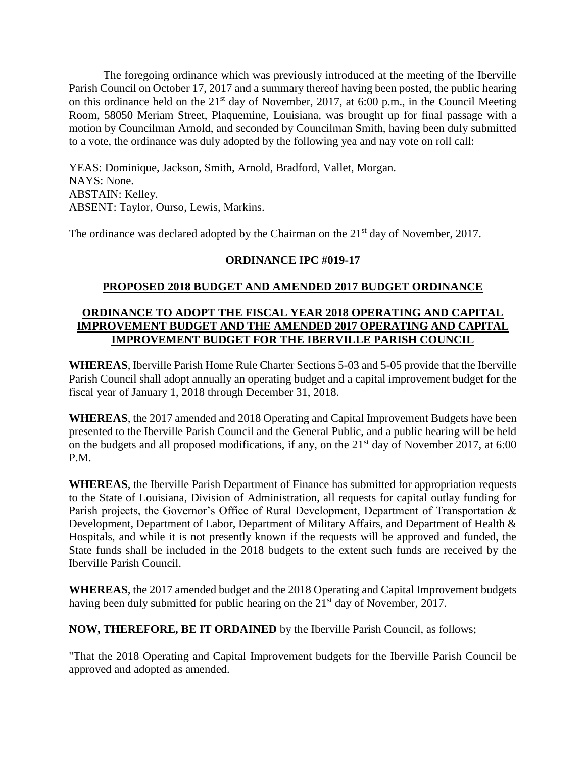The foregoing ordinance which was previously introduced at the meeting of the Iberville Parish Council on October 17, 2017 and a summary thereof having been posted, the public hearing on this ordinance held on the  $21<sup>st</sup>$  day of November, 2017, at 6:00 p.m., in the Council Meeting Room, 58050 Meriam Street, Plaquemine, Louisiana, was brought up for final passage with a motion by Councilman Arnold, and seconded by Councilman Smith, having been duly submitted to a vote, the ordinance was duly adopted by the following yea and nay vote on roll call:

YEAS: Dominique, Jackson, Smith, Arnold, Bradford, Vallet, Morgan. NAYS: None. ABSTAIN: Kelley. ABSENT: Taylor, Ourso, Lewis, Markins.

The ordinance was declared adopted by the Chairman on the 21<sup>st</sup> day of November, 2017.

# **ORDINANCE IPC #019-17**

# **PROPOSED 2018 BUDGET AND AMENDED 2017 BUDGET ORDINANCE**

### **ORDINANCE TO ADOPT THE FISCAL YEAR 2018 OPERATING AND CAPITAL IMPROVEMENT BUDGET AND THE AMENDED 2017 OPERATING AND CAPITAL IMPROVEMENT BUDGET FOR THE IBERVILLE PARISH COUNCIL**

**WHEREAS**, Iberville Parish Home Rule Charter Sections 5-03 and 5-05 provide that the Iberville Parish Council shall adopt annually an operating budget and a capital improvement budget for the fiscal year of January 1, 2018 through December 31, 2018.

**WHEREAS**, the 2017 amended and 2018 Operating and Capital Improvement Budgets have been presented to the Iberville Parish Council and the General Public, and a public hearing will be held on the budgets and all proposed modifications, if any, on the  $21<sup>st</sup>$  day of November 2017, at 6:00 P.M.

**WHEREAS**, the Iberville Parish Department of Finance has submitted for appropriation requests to the State of Louisiana, Division of Administration, all requests for capital outlay funding for Parish projects, the Governor's Office of Rural Development, Department of Transportation & Development, Department of Labor, Department of Military Affairs, and Department of Health & Hospitals, and while it is not presently known if the requests will be approved and funded, the State funds shall be included in the 2018 budgets to the extent such funds are received by the Iberville Parish Council.

**WHEREAS**, the 2017 amended budget and the 2018 Operating and Capital Improvement budgets having been duly submitted for public hearing on the 21<sup>st</sup> day of November, 2017.

**NOW, THEREFORE, BE IT ORDAINED** by the Iberville Parish Council, as follows;

"That the 2018 Operating and Capital Improvement budgets for the Iberville Parish Council be approved and adopted as amended.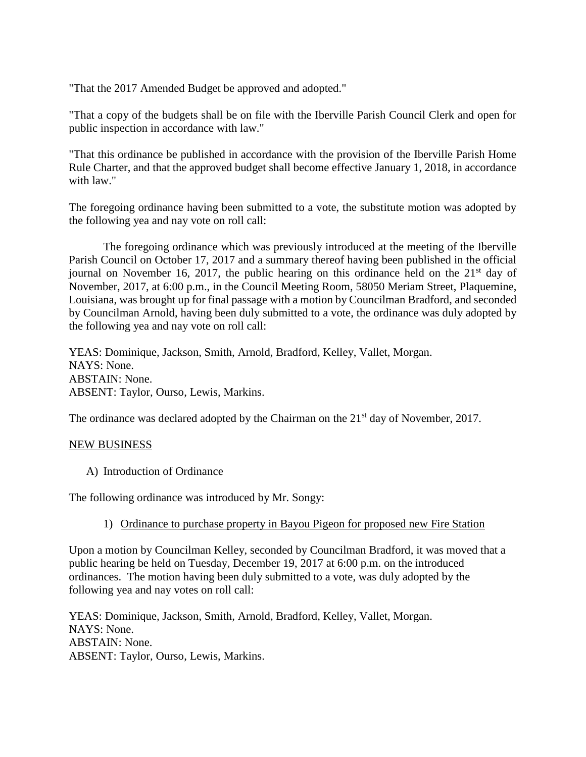"That the 2017 Amended Budget be approved and adopted."

"That a copy of the budgets shall be on file with the Iberville Parish Council Clerk and open for public inspection in accordance with law."

"That this ordinance be published in accordance with the provision of the Iberville Parish Home Rule Charter, and that the approved budget shall become effective January 1, 2018, in accordance with law."

The foregoing ordinance having been submitted to a vote, the substitute motion was adopted by the following yea and nay vote on roll call:

The foregoing ordinance which was previously introduced at the meeting of the Iberville Parish Council on October 17, 2017 and a summary thereof having been published in the official journal on November 16, 2017, the public hearing on this ordinance held on the  $21<sup>st</sup>$  day of November, 2017, at 6:00 p.m., in the Council Meeting Room, 58050 Meriam Street, Plaquemine, Louisiana, was brought up for final passage with a motion by Councilman Bradford, and seconded by Councilman Arnold, having been duly submitted to a vote, the ordinance was duly adopted by the following yea and nay vote on roll call:

YEAS: Dominique, Jackson, Smith, Arnold, Bradford, Kelley, Vallet, Morgan. NAYS: None. ABSTAIN: None. ABSENT: Taylor, Ourso, Lewis, Markins.

The ordinance was declared adopted by the Chairman on the 21<sup>st</sup> day of November, 2017.

### NEW BUSINESS

A) Introduction of Ordinance

The following ordinance was introduced by Mr. Songy:

### 1) Ordinance to purchase property in Bayou Pigeon for proposed new Fire Station

Upon a motion by Councilman Kelley, seconded by Councilman Bradford, it was moved that a public hearing be held on Tuesday, December 19, 2017 at 6:00 p.m. on the introduced ordinances. The motion having been duly submitted to a vote, was duly adopted by the following yea and nay votes on roll call:

YEAS: Dominique, Jackson, Smith, Arnold, Bradford, Kelley, Vallet, Morgan. NAYS: None. ABSTAIN: None. ABSENT: Taylor, Ourso, Lewis, Markins.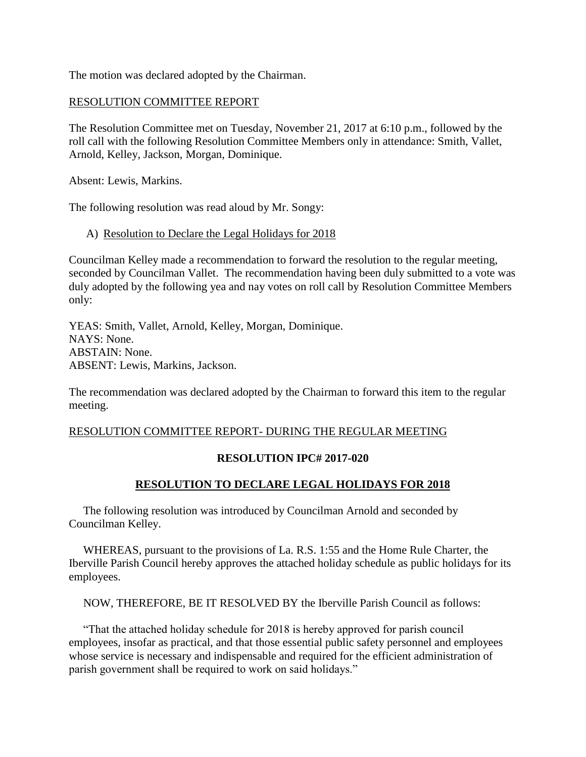The motion was declared adopted by the Chairman.

### RESOLUTION COMMITTEE REPORT

The Resolution Committee met on Tuesday, November 21, 2017 at 6:10 p.m., followed by the roll call with the following Resolution Committee Members only in attendance: Smith, Vallet, Arnold, Kelley, Jackson, Morgan, Dominique.

Absent: Lewis, Markins.

The following resolution was read aloud by Mr. Songy:

### A) Resolution to Declare the Legal Holidays for 2018

Councilman Kelley made a recommendation to forward the resolution to the regular meeting, seconded by Councilman Vallet. The recommendation having been duly submitted to a vote was duly adopted by the following yea and nay votes on roll call by Resolution Committee Members only:

YEAS: Smith, Vallet, Arnold, Kelley, Morgan, Dominique. NAYS: None. ABSTAIN: None. ABSENT: Lewis, Markins, Jackson.

The recommendation was declared adopted by the Chairman to forward this item to the regular meeting.

### RESOLUTION COMMITTEE REPORT- DURING THE REGULAR MEETING

# **RESOLUTION IPC# 2017-020**

# **RESOLUTION TO DECLARE LEGAL HOLIDAYS FOR 2018**

 The following resolution was introduced by Councilman Arnold and seconded by Councilman Kelley.

 WHEREAS, pursuant to the provisions of La. R.S. 1:55 and the Home Rule Charter, the Iberville Parish Council hereby approves the attached holiday schedule as public holidays for its employees.

NOW, THEREFORE, BE IT RESOLVED BY the Iberville Parish Council as follows:

 "That the attached holiday schedule for 2018 is hereby approved for parish council employees, insofar as practical, and that those essential public safety personnel and employees whose service is necessary and indispensable and required for the efficient administration of parish government shall be required to work on said holidays."